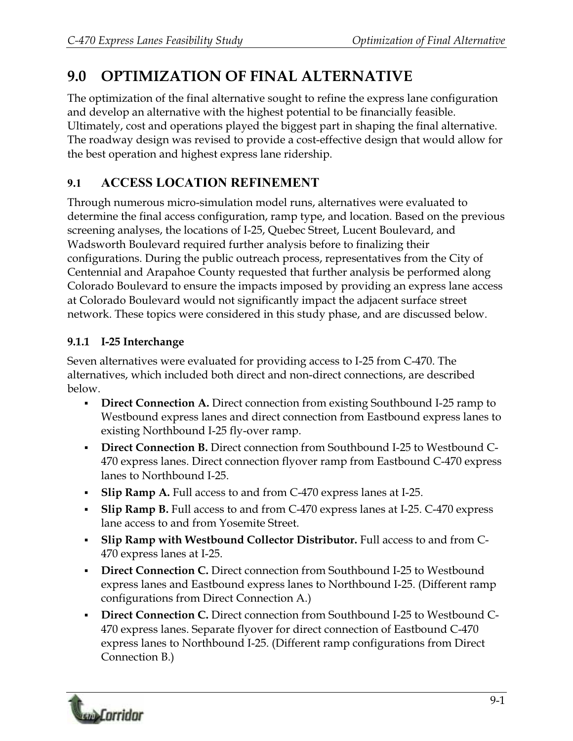# **9.0 OPTIMIZATION OF FINAL ALTERNATIVE**

The optimization of the final alternative sought to refine the express lane configuration and develop an alternative with the highest potential to be financially feasible. Ultimately, cost and operations played the biggest part in shaping the final alternative. The roadway design was revised to provide a cost-effective design that would allow for the best operation and highest express lane ridership.

# **9.1 ACCESS LOCATION REFINEMENT**

Through numerous micro-simulation model runs, alternatives were evaluated to determine the final access configuration, ramp type, and location. Based on the previous screening analyses, the locations of I-25, Quebec Street, Lucent Boulevard, and Wadsworth Boulevard required further analysis before to finalizing their configurations. During the public outreach process, representatives from the City of Centennial and Arapahoe County requested that further analysis be performed along Colorado Boulevard to ensure the impacts imposed by providing an express lane access at Colorado Boulevard would not significantly impact the adjacent surface street network. These topics were considered in this study phase, and are discussed below.

# **9.1.1 I-25 Interchange**

Seven alternatives were evaluated for providing access to I-25 from C-470. The alternatives, which included both direct and non-direct connections, are described below.

- **Direct Connection A.** Direct connection from existing Southbound I-25 ramp to Westbound express lanes and direct connection from Eastbound express lanes to existing Northbound I-25 fly-over ramp.
- **Direct Connection B.** Direct connection from Southbound I-25 to Westbound C-470 express lanes. Direct connection flyover ramp from Eastbound C-470 express lanes to Northbound I-25.
- **Slip Ramp A.** Full access to and from C-470 express lanes at I-25.
- **Slip Ramp B.** Full access to and from C-470 express lanes at I-25. C-470 express lane access to and from Yosemite Street.
- **Slip Ramp with Westbound Collector Distributor.** Full access to and from C-470 express lanes at I-25.
- **Direct Connection C.** Direct connection from Southbound I-25 to Westbound express lanes and Eastbound express lanes to Northbound I-25. (Different ramp configurations from Direct Connection A.)
- **Direct Connection C.** Direct connection from Southbound I-25 to Westbound C-470 express lanes. Separate flyover for direct connection of Eastbound C-470 express lanes to Northbound I-25. (Different ramp configurations from Direct Connection B.)

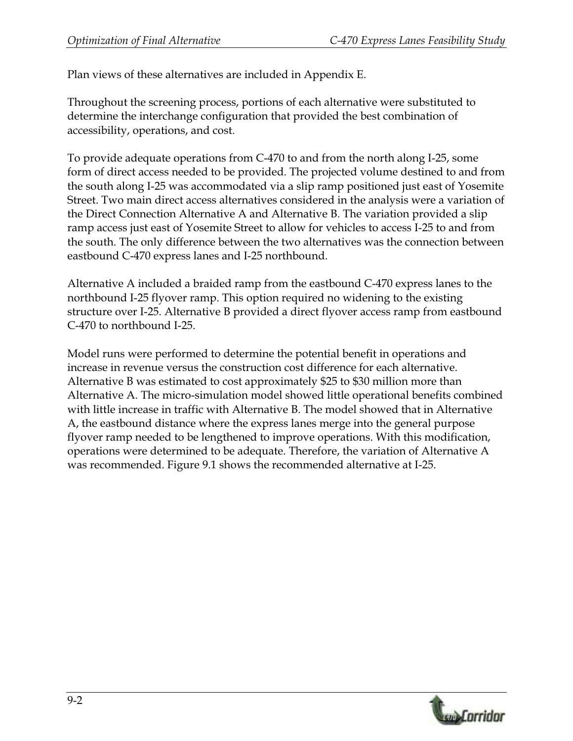Plan views of these alternatives are included in Appendix E.

Throughout the screening process, portions of each alternative were substituted to determine the interchange configuration that provided the best combination of accessibility, operations, and cost.

To provide adequate operations from C-470 to and from the north along I-25, some form of direct access needed to be provided. The projected volume destined to and from the south along I-25 was accommodated via a slip ramp positioned just east of Yosemite Street. Two main direct access alternatives considered in the analysis were a variation of the Direct Connection Alternative A and Alternative B. The variation provided a slip ramp access just east of Yosemite Street to allow for vehicles to access I-25 to and from the south. The only difference between the two alternatives was the connection between eastbound C-470 express lanes and I-25 northbound.

Alternative A included a braided ramp from the eastbound C-470 express lanes to the northbound I-25 flyover ramp. This option required no widening to the existing structure over I-25. Alternative B provided a direct flyover access ramp from eastbound C-470 to northbound I-25.

Model runs were performed to determine the potential benefit in operations and increase in revenue versus the construction cost difference for each alternative. Alternative B was estimated to cost approximately \$25 to \$30 million more than Alternative A. The micro-simulation model showed little operational benefits combined with little increase in traffic with Alternative B. The model showed that in Alternative A, the eastbound distance where the express lanes merge into the general purpose flyover ramp needed to be lengthened to improve operations. With this modification, operations were determined to be adequate. Therefore, the variation of Alternative A was recommended. Figure 9.1 shows the recommended alternative at I-25.

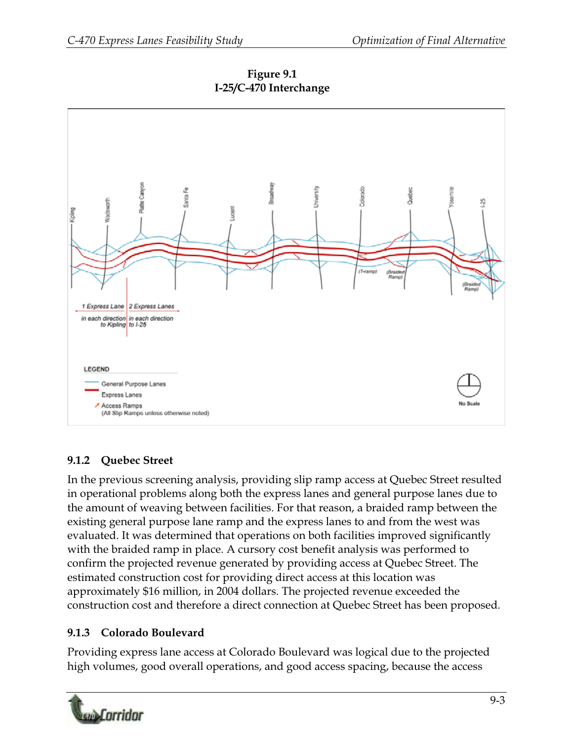

**Figure 9.1 I-25/C-470 Interchange** 

## **9.1.2 Quebec Street**

In the previous screening analysis, providing slip ramp access at Quebec Street resulted in operational problems along both the express lanes and general purpose lanes due to the amount of weaving between facilities. For that reason, a braided ramp between the existing general purpose lane ramp and the express lanes to and from the west was evaluated. It was determined that operations on both facilities improved significantly with the braided ramp in place. A cursory cost benefit analysis was performed to confirm the projected revenue generated by providing access at Quebec Street. The estimated construction cost for providing direct access at this location was approximately \$16 million, in 2004 dollars. The projected revenue exceeded the construction cost and therefore a direct connection at Quebec Street has been proposed.

#### **9.1.3 Colorado Boulevard**

Providing express lane access at Colorado Boulevard was logical due to the projected high volumes, good overall operations, and good access spacing, because the access

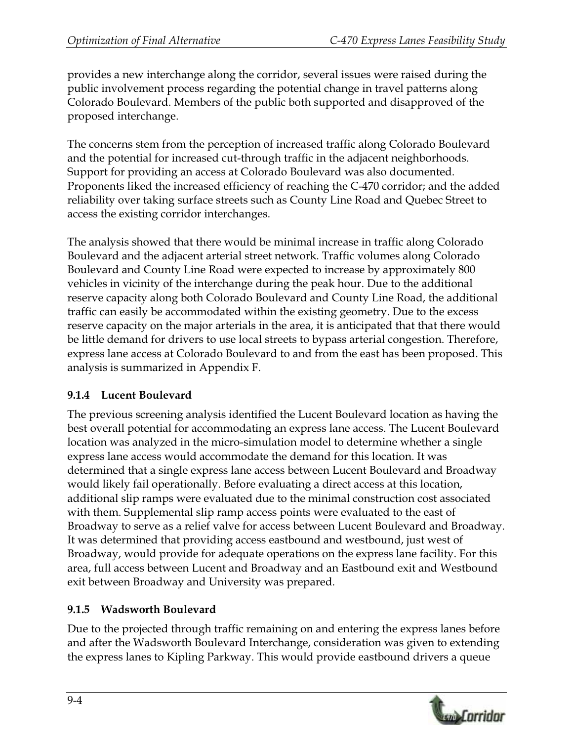provides a new interchange along the corridor, several issues were raised during the public involvement process regarding the potential change in travel patterns along Colorado Boulevard. Members of the public both supported and disapproved of the proposed interchange.

The concerns stem from the perception of increased traffic along Colorado Boulevard and the potential for increased cut-through traffic in the adjacent neighborhoods. Support for providing an access at Colorado Boulevard was also documented. Proponents liked the increased efficiency of reaching the C-470 corridor; and the added reliability over taking surface streets such as County Line Road and Quebec Street to access the existing corridor interchanges.

The analysis showed that there would be minimal increase in traffic along Colorado Boulevard and the adjacent arterial street network. Traffic volumes along Colorado Boulevard and County Line Road were expected to increase by approximately 800 vehicles in vicinity of the interchange during the peak hour. Due to the additional reserve capacity along both Colorado Boulevard and County Line Road, the additional traffic can easily be accommodated within the existing geometry. Due to the excess reserve capacity on the major arterials in the area, it is anticipated that that there would be little demand for drivers to use local streets to bypass arterial congestion. Therefore, express lane access at Colorado Boulevard to and from the east has been proposed. This analysis is summarized in Appendix F.

# **9.1.4 Lucent Boulevard**

The previous screening analysis identified the Lucent Boulevard location as having the best overall potential for accommodating an express lane access. The Lucent Boulevard location was analyzed in the micro-simulation model to determine whether a single express lane access would accommodate the demand for this location. It was determined that a single express lane access between Lucent Boulevard and Broadway would likely fail operationally. Before evaluating a direct access at this location, additional slip ramps were evaluated due to the minimal construction cost associated with them. Supplemental slip ramp access points were evaluated to the east of Broadway to serve as a relief valve for access between Lucent Boulevard and Broadway. It was determined that providing access eastbound and westbound, just west of Broadway, would provide for adequate operations on the express lane facility. For this area, full access between Lucent and Broadway and an Eastbound exit and Westbound exit between Broadway and University was prepared.

# **9.1.5 Wadsworth Boulevard**

Due to the projected through traffic remaining on and entering the express lanes before and after the Wadsworth Boulevard Interchange, consideration was given to extending the express lanes to Kipling Parkway. This would provide eastbound drivers a queue

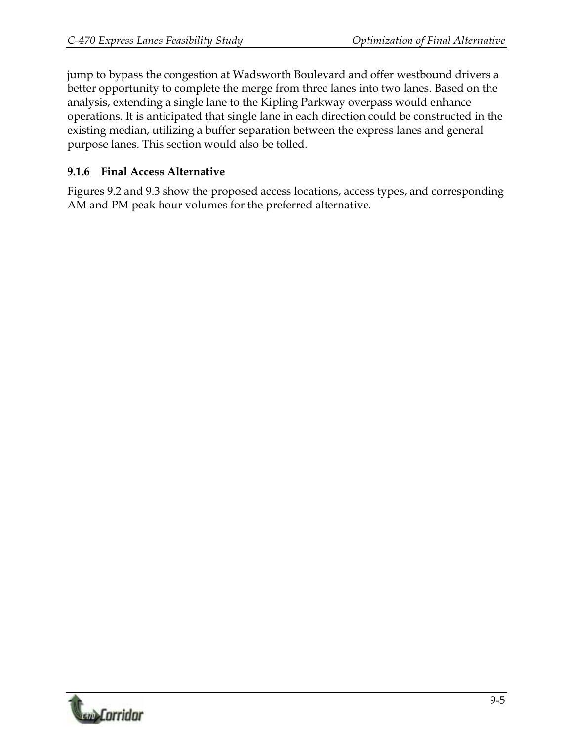jump to bypass the congestion at Wadsworth Boulevard and offer westbound drivers a better opportunity to complete the merge from three lanes into two lanes. Based on the analysis, extending a single lane to the Kipling Parkway overpass would enhance operations. It is anticipated that single lane in each direction could be constructed in the existing median, utilizing a buffer separation between the express lanes and general purpose lanes. This section would also be tolled.

## **9.1.6 Final Access Alternative**

Figures 9.2 and 9.3 show the proposed access locations, access types, and corresponding AM and PM peak hour volumes for the preferred alternative.

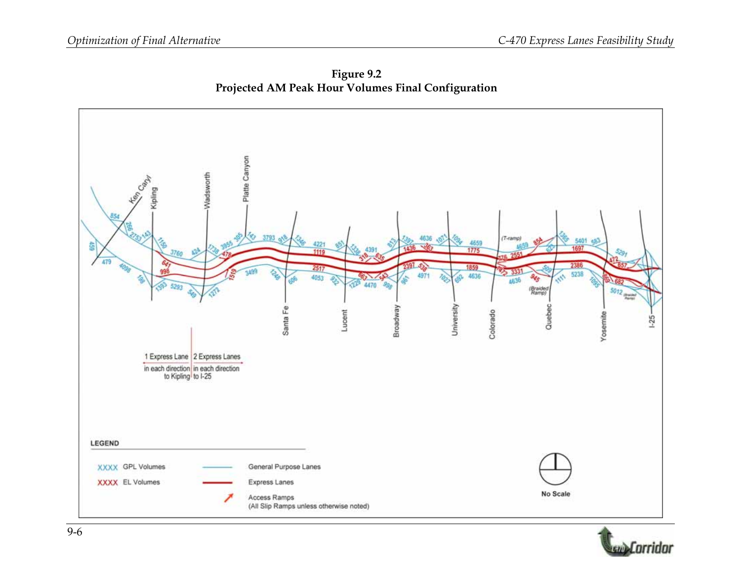Platte Canyon Wadsworth Ciplina 3793 T-ramp) 5401 4659 4221 ū 1775 1119 2386  $2517$ 5238 4636 4971 4053  $9<sub>5</sub>$  $\theta$ 4636 5291 (Braider  $5012$ Broadway University Quebec Santa Fe Lucent Colorado Yosemite  $-25$ 1 Express Lane 2 Express Lanes in each direction in each direction LEGEND **XXXX GPL Volumes** General Purpose Lanes XXXX EL Volumes Express Lanes No Scale Access Ramps (All Slip Ramps unless otherwise noted)

**Figure 9.2 Projected AM Peak Hour Volumes Final Configuration**